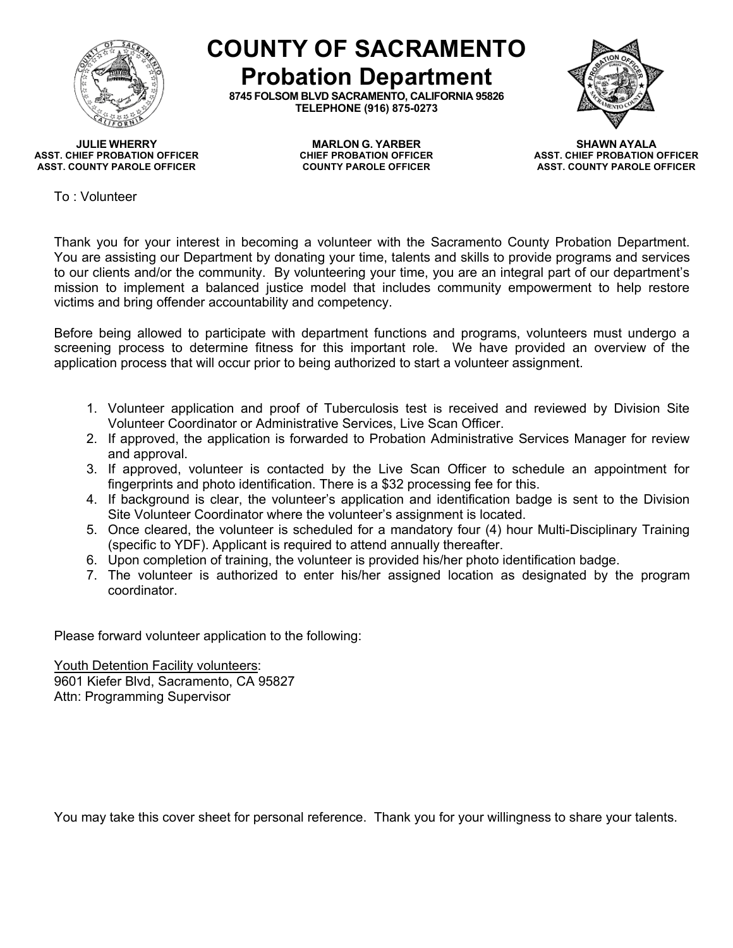

**COUNTY OF SACRAMENTO Probation Department**

**8745 FOLSOM BLVD SACRAMENTO, CALIFORNIA 95826 TELEPHONE (916) 875-0273**



**ASST. CHIEF PROBATION OFFICER CHIEF PROBATION OFFICER ASST. CHIEF PROBATION OFFICER ASST. COUNTY PAROLE OFFICER COUNTY PAROLE OFFICER ASST. COUNTY PAROLE OFFICER**

**JULIE WHERRY MARLON G. YARBER SHAWN AYALA**

To : Volunteer

Thank you for your interest in becoming a volunteer with the Sacramento County Probation Department. You are assisting our Department by donating your time, talents and skills to provide programs and services to our clients and/or the community. By volunteering your time, you are an integral part of our department's mission to implement a balanced justice model that includes community empowerment to help restore victims and bring offender accountability and competency.

Before being allowed to participate with department functions and programs, volunteers must undergo a screening process to determine fitness for this important role. We have provided an overview of the application process that will occur prior to being authorized to start a volunteer assignment.

- 1. Volunteer application and proof of Tuberculosis test is received and reviewed by Division Site Volunteer Coordinator or Administrative Services, Live Scan Officer.
- 2. If approved, the application is forwarded to Probation Administrative Services Manager for review and approval.
- 3. If approved, volunteer is contacted by the Live Scan Officer to schedule an appointment for fingerprints and photo identification. There is a \$32 processing fee for this.
- 4. If background is clear, the volunteer's application and identification badge is sent to the Division Site Volunteer Coordinator where the volunteer's assignment is located.
- 5. Once cleared, the volunteer is scheduled for a mandatory four (4) hour Multi-Disciplinary Training (specific to YDF). Applicant is required to attend annually thereafter.
- 6. Upon completion of training, the volunteer is provided his/her photo identification badge.
- 7. The volunteer is authorized to enter his/her assigned location as designated by the program coordinator.

Please forward volunteer application to the following:

Youth Detention Facility volunteers: 9601 Kiefer Blvd, Sacramento, CA 95827 Attn: Programming Supervisor

You may take this cover sheet for personal reference. Thank you for your willingness to share your talents.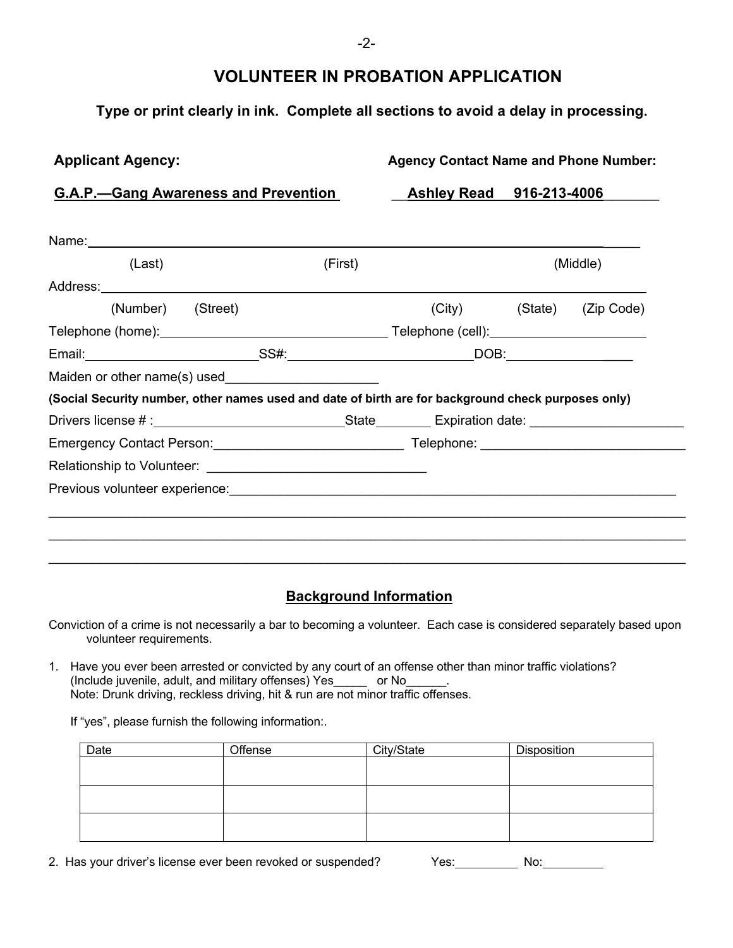# **VOLUNTEER IN PROBATION APPLICATION**

## **Type or print clearly in ink. Complete all sections to avoid a delay in processing.**

#### **Applicant Agency: Agency Contact Name and Phone Number:**

### **G.A.P.—Gang Awareness and Prevention** \_\_**Ashley Read 916-213-4006**\_\_\_\_\_\_\_

| (Last)                                                                                              |  | (First) |  | (Middle) |         |            |  |
|-----------------------------------------------------------------------------------------------------|--|---------|--|----------|---------|------------|--|
|                                                                                                     |  |         |  |          |         |            |  |
| (Number) (Street)                                                                                   |  |         |  | (City)   | (State) | (Zip Code) |  |
|                                                                                                     |  |         |  |          |         |            |  |
|                                                                                                     |  |         |  |          |         |            |  |
|                                                                                                     |  |         |  |          |         |            |  |
| (Social Security number, other names used and date of birth are for background check purposes only) |  |         |  |          |         |            |  |
|                                                                                                     |  |         |  |          |         |            |  |
|                                                                                                     |  |         |  |          |         |            |  |
|                                                                                                     |  |         |  |          |         |            |  |
|                                                                                                     |  |         |  |          |         |            |  |
|                                                                                                     |  |         |  |          |         |            |  |

## **Background Information**

Conviction of a crime is not necessarily a bar to becoming a volunteer. Each case is considered separately based upon volunteer requirements.

1. Have you ever been arrested or convicted by any court of an offense other than minor traffic violations? (Include juvenile, adult, and military offenses) Yes\_\_\_\_\_ or No\_\_\_\_\_\_. Note: Drunk driving, reckless driving, hit & run are not minor traffic offenses.

If "yes", please furnish the following information:.

| Date | Offense | City/State | Disposition |
|------|---------|------------|-------------|
|      |         |            |             |
|      |         |            |             |
|      |         |            |             |
|      |         |            |             |
|      |         |            |             |
|      |         |            |             |

2. Has your driver's license ever been revoked or suspended? Yes: No: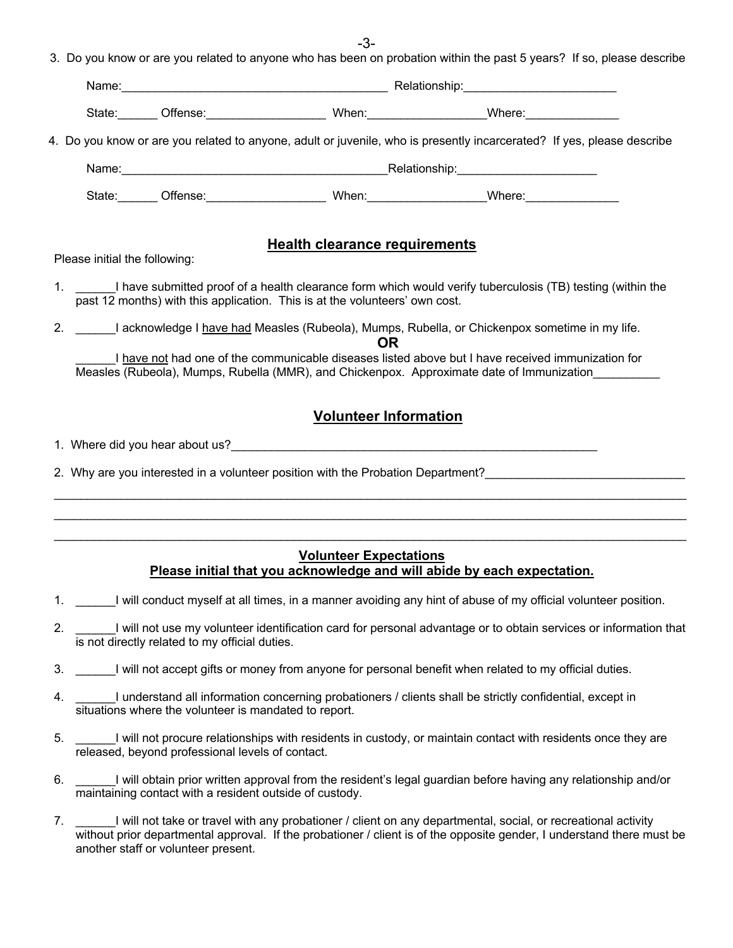-3- 3. Do you know or are you related to anyone who has been on probation within the past 5 years? If so, please describe

|                               |                                                         |                                                                             | State: _______ Offense: ____________________________ When: _____________________Where: _______________________                                                                                 |  |  |
|-------------------------------|---------------------------------------------------------|-----------------------------------------------------------------------------|------------------------------------------------------------------------------------------------------------------------------------------------------------------------------------------------|--|--|
|                               |                                                         |                                                                             | 4. Do you know or are you related to anyone, adult or juvenile, who is presently incarcerated? If yes, please describe                                                                         |  |  |
|                               |                                                         |                                                                             |                                                                                                                                                                                                |  |  |
|                               |                                                         |                                                                             | State: _______ Offense: __________________________ When: ______________________Where: ______________                                                                                           |  |  |
| Please initial the following: |                                                         | <b>Health clearance requirements</b>                                        |                                                                                                                                                                                                |  |  |
|                               |                                                         |                                                                             |                                                                                                                                                                                                |  |  |
|                               |                                                         | past 12 months) with this application. This is at the volunteers' own cost. | 1. I have submitted proof of a health clearance form which would verify tuberculosis (TB) testing (within the                                                                                  |  |  |
|                               |                                                         |                                                                             | 2. ______I acknowledge I have had Measles (Rubeola), Mumps, Rubella, or Chickenpox sometime in my life.                                                                                        |  |  |
|                               |                                                         | <b>OR</b>                                                                   | I have not had one of the communicable diseases listed above but I have received immunization for<br>Measles (Rubeola), Mumps, Rubella (MMR), and Chickenpox. Approximate date of Immunization |  |  |
|                               |                                                         | <b>Volunteer Information</b>                                                |                                                                                                                                                                                                |  |  |
|                               |                                                         |                                                                             |                                                                                                                                                                                                |  |  |
|                               |                                                         |                                                                             | 2. Why are you interested in a volunteer position with the Probation Department?                                                                                                               |  |  |
|                               |                                                         |                                                                             |                                                                                                                                                                                                |  |  |
|                               |                                                         |                                                                             |                                                                                                                                                                                                |  |  |
|                               |                                                         | <b>Volunteer Expectations</b>                                               | Please initial that you acknowledge and will abide by each expectation.                                                                                                                        |  |  |
| 1.                            |                                                         |                                                                             | I will conduct myself at all times, in a manner avoiding any hint of abuse of my official volunteer position.                                                                                  |  |  |
| 2.                            | is not directly related to my official duties.          |                                                                             | I will not use my volunteer identification card for personal advantage or to obtain services or information that                                                                               |  |  |
|                               |                                                         |                                                                             | 3. I will not accept gifts or money from anyone for personal benefit when related to my official duties.                                                                                       |  |  |
| 4.                            | situations where the volunteer is mandated to report.   |                                                                             | I understand all information concerning probationers / clients shall be strictly confidential, except in                                                                                       |  |  |
| 5.                            | released, beyond professional levels of contact.        |                                                                             | I will not procure relationships with residents in custody, or maintain contact with residents once they are                                                                                   |  |  |
| 6.                            | maintaining contact with a resident outside of custody. |                                                                             | I will obtain prior written approval from the resident's legal guardian before having any relationship and/or                                                                                  |  |  |

7. \_\_\_\_\_\_I will not take or travel with any probationer / client on any departmental, social, or recreational activity without prior departmental approval. If the probationer / client is of the opposite gender, I understand there must be another staff or volunteer present.